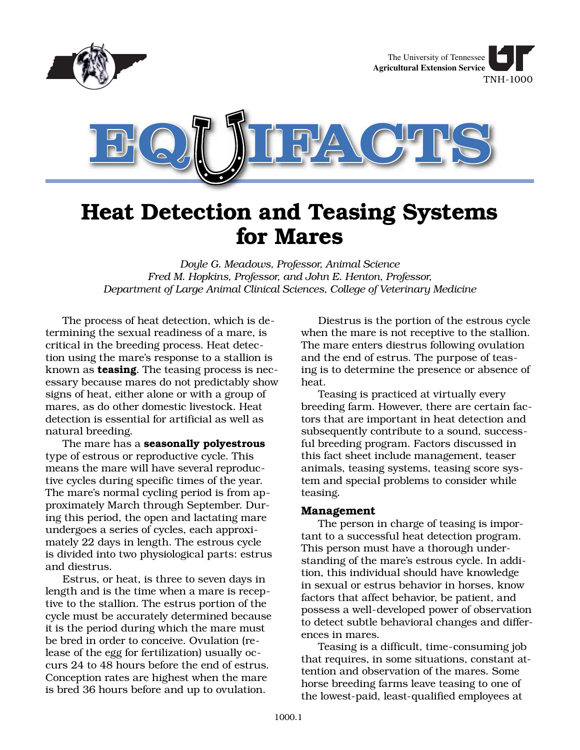

# **Heat Detection and Teasing Systems for Mares**

*Doyle G. Meadows, Professor, Animal Science Fred M. Hopkins, Professor, and John E. Henton, Professor, Department of Large Animal Clinical Sciences, College of Veterinary Medicine*

The process of heat detection, which is determining the sexual readiness of a mare, is critical in the breeding process. Heat detection using the mare's response to a stallion is known as **teasing**. The teasing process is necessary because mares do not predictably show signs of heat, either alone or with a group of mares, as do other domestic livestock. Heat detection is essential for artificial as well as natural breeding.

The mare has a **seasonally polyestrous** type of estrous or reproductive cycle. This means the mare will have several reproductive cycles during specific times of the year. The mare's normal cycling period is from approximately March through September. During this period, the open and lactating mare undergoes a series of cycles, each approximately 22 days in length. The estrous cycle is divided into two physiological parts: estrus and diestrus.

Estrus, or heat, is three to seven days in length and is the time when a mare is receptive to the stallion. The estrus portion of the cycle must be accurately determined because it is the period during which the mare must be bred in order to conceive. Ovulation (release of the egg for fertilization) usually occurs 24 to 48 hours before the end of estrus. Conception rates are highest when the mare is bred 36 hours before and up to ovulation.

Diestrus is the portion of the estrous cycle when the mare is not receptive to the stallion. The mare enters diestrus following ovulation and the end of estrus. The purpose of teasing is to determine the presence or absence of heat.

Teasing is practiced at virtually every breeding farm. However, there are certain factors that are important in heat detection and subsequently contribute to a sound, successful breeding program. Factors discussed in this fact sheet include management, teaser animals, teasing systems, teasing score system and special problems to consider while teasing.

## **Management**

The person in charge of teasing is important to a successful heat detection program. This person must have a thorough understanding of the mare's estrous cycle. In addition, this individual should have knowledge in sexual or estrus behavior in horses, know factors that affect behavior, be patient, and possess a well-developed power of observation to detect subtle behavioral changes and differences in mares.

Teasing is a difficult, time-consuming job that requires, in some situations, constant attention and observation of the mares. Some horse breeding farms leave teasing to one of the lowest-paid, least-qualified employees at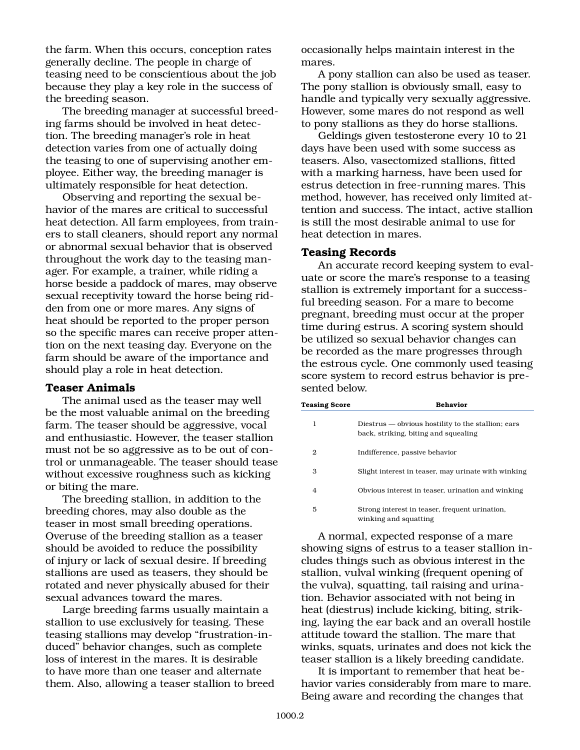the farm. When this occurs, conception rates generally decline. The people in charge of teasing need to be conscientious about the job because they play a key role in the success of the breeding season.

The breeding manager at successful breeding farms should be involved in heat detection. The breeding manager's role in heat detection varies from one of actually doing the teasing to one of supervising another employee. Either way, the breeding manager is ultimately responsible for heat detection.

Observing and reporting the sexual behavior of the mares are critical to successful heat detection. All farm employees, from trainers to stall cleaners, should report any normal or abnormal sexual behavior that is observed throughout the work day to the teasing manager. For example, a trainer, while riding a horse beside a paddock of mares, may observe sexual receptivity toward the horse being ridden from one or more mares. Any signs of heat should be reported to the proper person so the specific mares can receive proper attention on the next teasing day. Everyone on the farm should be aware of the importance and should play a role in heat detection.

## **Teaser Animals**

The animal used as the teaser may well be the most valuable animal on the breeding farm. The teaser should be aggressive, vocal and enthusiastic. However, the teaser stallion must not be so aggressive as to be out of control or unmanageable. The teaser should tease without excessive roughness such as kicking or biting the mare.

The breeding stallion, in addition to the breeding chores, may also double as the teaser in most small breeding operations. Overuse of the breeding stallion as a teaser should be avoided to reduce the possibility of injury or lack of sexual desire. If breeding stallions are used as teasers, they should be rotated and never physically abused for their sexual advances toward the mares.

Large breeding farms usually maintain a stallion to use exclusively for teasing. These teasing stallions may develop "frustration-induced" behavior changes, such as complete loss of interest in the mares. It is desirable to have more than one teaser and alternate them. Also, allowing a teaser stallion to breed occasionally helps maintain interest in the mares.

A pony stallion can also be used as teaser. The pony stallion is obviously small, easy to handle and typically very sexually aggressive. However, some mares do not respond as well to pony stallions as they do horse stallions.

Geldings given testosterone every 10 to 21 days have been used with some success as teasers. Also, vasectomized stallions, fitted with a marking harness, have been used for estrus detection in free-running mares. This method, however, has received only limited attention and success. The intact, active stallion is still the most desirable animal to use for heat detection in mares.

### **Teasing Records**

An accurate record keeping system to evaluate or score the mare's response to a teasing stallion is extremely important for a successful breeding season. For a mare to become pregnant, breeding must occur at the proper time during estrus. A scoring system should be utilized so sexual behavior changes can be recorded as the mare progresses through the estrous cycle. One commonly used teasing score system to record estrus behavior is presented below.

| <b>Teasing Score</b> | <b>Behavior</b>                                                                            |
|----------------------|--------------------------------------------------------------------------------------------|
| 1                    | Diestrus — obvious hostility to the stallion; ears<br>back, striking, biting and squealing |
| 2                    | Indifference, passive behavior                                                             |
| з                    | Slight interest in teaser, may urinate with winking                                        |
| 4                    | Obvious interest in teaser, urination and winking                                          |
| 5                    | Strong interest in teaser, frequent urination,<br>winking and squatting                    |

A normal, expected response of a mare showing signs of estrus to a teaser stallion includes things such as obvious interest in the stallion, vulval winking (frequent opening of the vulva), squatting, tail raising and urination. Behavior associated with not being in heat (diestrus) include kicking, biting, striking, laying the ear back and an overall hostile attitude toward the stallion. The mare that winks, squats, urinates and does not kick the teaser stallion is a likely breeding candidate.

It is important to remember that heat behavior varies considerably from mare to mare. Being aware and recording the changes that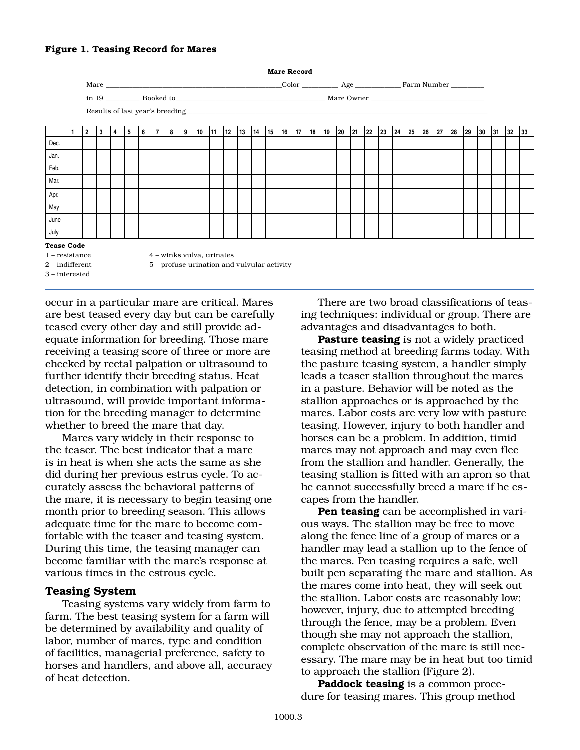## **Figure 1. Teasing Record for Mares**



occur in a particular mare are critical. Mares are best teased every day but can be carefully teased every other day and still provide adequate information for breeding. Those mare receiving a teasing score of three or more are checked by rectal palpation or ultrasound to further identify their breeding status. Heat detection, in combination with palpation or ultrasound, will provide important information for the breeding manager to determine whether to breed the mare that day.

Mares vary widely in their response to the teaser. The best indicator that a mare is in heat is when she acts the same as she did during her previous estrus cycle. To accurately assess the behavioral patterns of the mare, it is necessary to begin teasing one month prior to breeding season. This allows adequate time for the mare to become comfortable with the teaser and teasing system. During this time, the teasing manager can become familiar with the mare's response at various times in the estrous cycle.

## **Teasing System**

Teasing systems vary widely from farm to farm. The best teasing system for a farm will be determined by availability and quality of labor, number of mares, type and condition of facilities, managerial preference, safety to horses and handlers, and above all, accuracy of heat detection.

There are two broad classifications of teasing techniques: individual or group. There are advantages and disadvantages to both.

**Pasture teasing** is not a widely practiced teasing method at breeding farms today. With the pasture teasing system, a handler simply leads a teaser stallion throughout the mares in a pasture. Behavior will be noted as the stallion approaches or is approached by the mares. Labor costs are very low with pasture teasing. However, injury to both handler and horses can be a problem. In addition, timid mares may not approach and may even flee from the stallion and handler. Generally, the teasing stallion is fitted with an apron so that he cannot successfully breed a mare if he escapes from the handler.

**Pen teasing** can be accomplished in various ways. The stallion may be free to move along the fence line of a group of mares or a handler may lead a stallion up to the fence of the mares. Pen teasing requires a safe, well built pen separating the mare and stallion. As the mares come into heat, they will seek out the stallion. Labor costs are reasonably low; however, injury, due to attempted breeding through the fence, may be a problem. Even though she may not approach the stallion, complete observation of the mare is still necessary. The mare may be in heat but too timid to approach the stallion (Figure 2).

**Paddock teasing** is a common procedure for teasing mares. This group method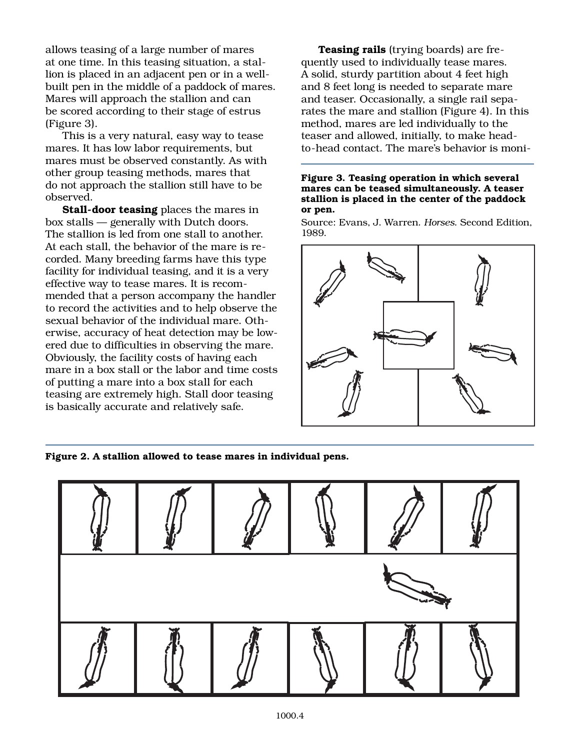allows teasing of a large number of mares at one time. In this teasing situation, a stallion is placed in an adjacent pen or in a wellbuilt pen in the middle of a paddock of mares. Mares will approach the stallion and can be scored according to their stage of estrus (Figure 3).

This is a very natural, easy way to tease mares. It has low labor requirements, but mares must be observed constantly. As with other group teasing methods, mares that do not approach the stallion still have to be observed.

**Stall-door teasing** places the mares in box stalls — generally with Dutch doors. The stallion is led from one stall to another. At each stall, the behavior of the mare is recorded. Many breeding farms have this type facility for individual teasing, and it is a very effective way to tease mares. It is recommended that a person accompany the handler to record the activities and to help observe the sexual behavior of the individual mare. Otherwise, accuracy of heat detection may be lowered due to difficulties in observing the mare. Obviously, the facility costs of having each mare in a box stall or the labor and time costs of putting a mare into a box stall for each teasing are extremely high. Stall door teasing is basically accurate and relatively safe.

**Teasing rails** (trying boards) are frequently used to individually tease mares. A solid, sturdy partition about 4 feet high and 8 feet long is needed to separate mare and teaser. Occasionally, a single rail separates the mare and stallion (Figure 4). In this method, mares are led individually to the teaser and allowed, initially, to make headto-head contact. The mare's behavior is moni-

#### **Figure 3. Teasing operation in which several mares can be teased simultaneously. A teaser stallion is placed in the center of the paddock or pen.**

Source: Evans, J. Warren. *Horses*. Second Edition, 1989.



**Figure 2. A stallion allowed to tease mares in individual pens.**

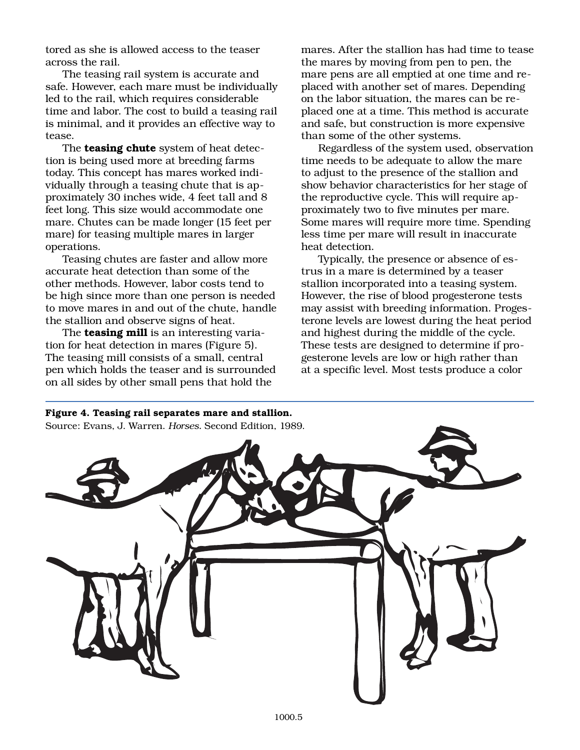tored as she is allowed access to the teaser across the rail.

The teasing rail system is accurate and safe. However, each mare must be individually led to the rail, which requires considerable time and labor. The cost to build a teasing rail is minimal, and it provides an effective way to tease.

The **teasing chute** system of heat detection is being used more at breeding farms today. This concept has mares worked individually through a teasing chute that is approximately 30 inches wide, 4 feet tall and 8 feet long. This size would accommodate one mare. Chutes can be made longer (15 feet per mare) for teasing multiple mares in larger operations.

Teasing chutes are faster and allow more accurate heat detection than some of the other methods. However, labor costs tend to be high since more than one person is needed to move mares in and out of the chute, handle the stallion and observe signs of heat.

The **teasing mill** is an interesting variation for heat detection in mares (Figure 5). The teasing mill consists of a small, central pen which holds the teaser and is surrounded on all sides by other small pens that hold the

mares. After the stallion has had time to tease the mares by moving from pen to pen, the mare pens are all emptied at one time and replaced with another set of mares. Depending on the labor situation, the mares can be replaced one at a time. This method is accurate and safe, but construction is more expensive than some of the other systems.

Regardless of the system used, observation time needs to be adequate to allow the mare to adjust to the presence of the stallion and show behavior characteristics for her stage of the reproductive cycle. This will require approximately two to five minutes per mare. Some mares will require more time. Spending less time per mare will result in inaccurate heat detection.

Typically, the presence or absence of estrus in a mare is determined by a teaser stallion incorporated into a teasing system. However, the rise of blood progesterone tests may assist with breeding information. Progesterone levels are lowest during the heat period and highest during the middle of the cycle. These tests are designed to determine if progesterone levels are low or high rather than at a specific level. Most tests produce a color

#### **Figure 4. Teasing rail separates mare and stallion.**